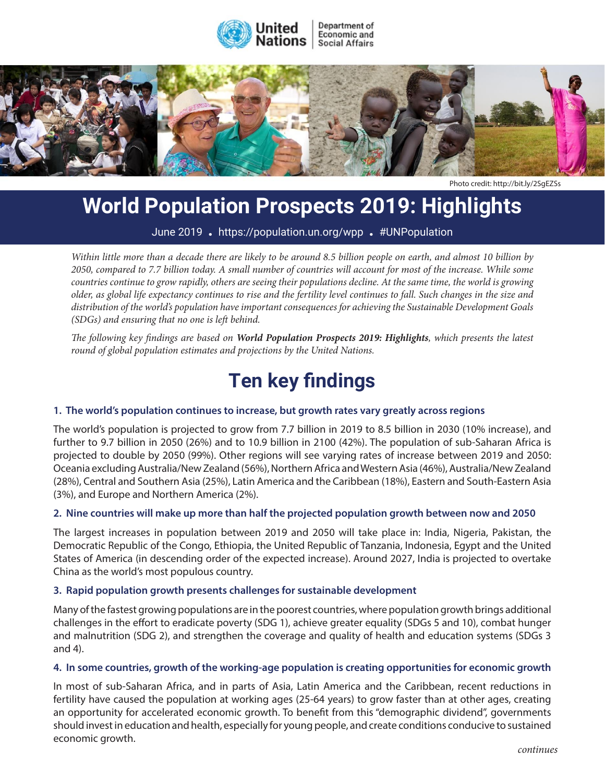



Photo credit:<http://bit.ly/2SgEZSs>

# **World Population Prospects 2019: Highlights**

June 2019 **.** https://population.un.org/wpp **.** #UNPopulation

The world's population is growing larger and older, while also becoming more mobile and more *2050, compared to 7.7 billion today. A small number of countries will account for most of the increase. While some*  <sup>1</sup> countries continue to grow rapidly, others are seeing their populations decline. At the same time, the world is growing older, as global life expectancy continues to rise and the fertility level continues to fall. Such changes in the size and  $f_{\rm tot}$  for a report of the secretary-contract on a report of the Secretary-General which reviews the implementation of the secretary-General which reviews the implementation of the secretary-General which reviews the im distribution of the world's population have important consequences for achieving the Sustainable Development Goals<br><sup>(SDCs)</sup> and surviving that use and is left habind (SDGs) and ensuring that no one is left behind. *Within little more than a decade there are likely to be around 8.5 billion people on earth, and almost 10 billion by* 

**Key findings** *round of global population estimates and projections by the United Nations. The following key findings are based on World Population Prospects 2019: Highlights, which presents the latest* 

# **1. Important gains have been made in implementing the Programme of Action Ten key findings** The world has witnessed significant progress in implementing the ICPD Programme of Action,

# 1. The world's population continues to increase, but growth rates vary greatly across regions

The world's population is projected to grow from 7.7 billion in 2019 to 8.5 billion in 2030 (10% increase), and further to 9.7 billion in 2050 (26%) and to 10.9 billion in 2100 (42%). The population of sub-Saharan Africa is projected to double by 2050 (99%). Other regions will see varying rates of increase between 2019 and 2050: (28%), Central and Southern Asia (25%), Latin America and the Caribbean (18%), Eastern and South-Eastern Asia (3%), and Europe and Northern America (2%). Oceania excluding Australia/New Zealand (56%), Northern Africa and Western Asia (46%), Australia/New Zealand

# 2. Nine countries will make up more than half the projected population growth between now and 2050

The largest increases in population between 2019 and 2050 will take place in: India, Nigeria, Pakistan, the Incerargest increases in population settlect. 2019 and 2000 will take place in mola, ragend, rakistan, the Dnited gains, is still above the target established in 1994. States of America (in descending order of the expected increase). Around 2027, India is projected to overtake **3. World's population is expected to continue to grow, albeit at a declining rate** China as the world's most populous country.

## 3. Rapid population growth presents challenges for sustainable development

Many of the fastest growing populations are in the poorest countries, where population growth brings additional many or menastest growing populations are in the position counties, where population growindings data them.<br>challenges in the effort to eradicate poverty (SDG 1), achieve greater equality (SDGs 5 and 10), combat hunger and malnutrition (SDG 2), and strengthen the coverage and quality of health and education systems (SDGs 3 and 4).

#### 4. In some countries, growth of the working-age population is creating opportunities for economic growth

In most of sub-Saharan Africa, and in parts of Asia, Latin America and the Caribbean, recent reductions in over the world's population in the world's performant countries with the countries with resolution in the per woman, and the population at working ages (25-64 years) to grow faster than at other ages, creating an opportunity for accelerated economic growth. To benefit from this "demographic dividend", governments should invest in education and health, especially for young people, and create conditions conducive to sustained economic growth.